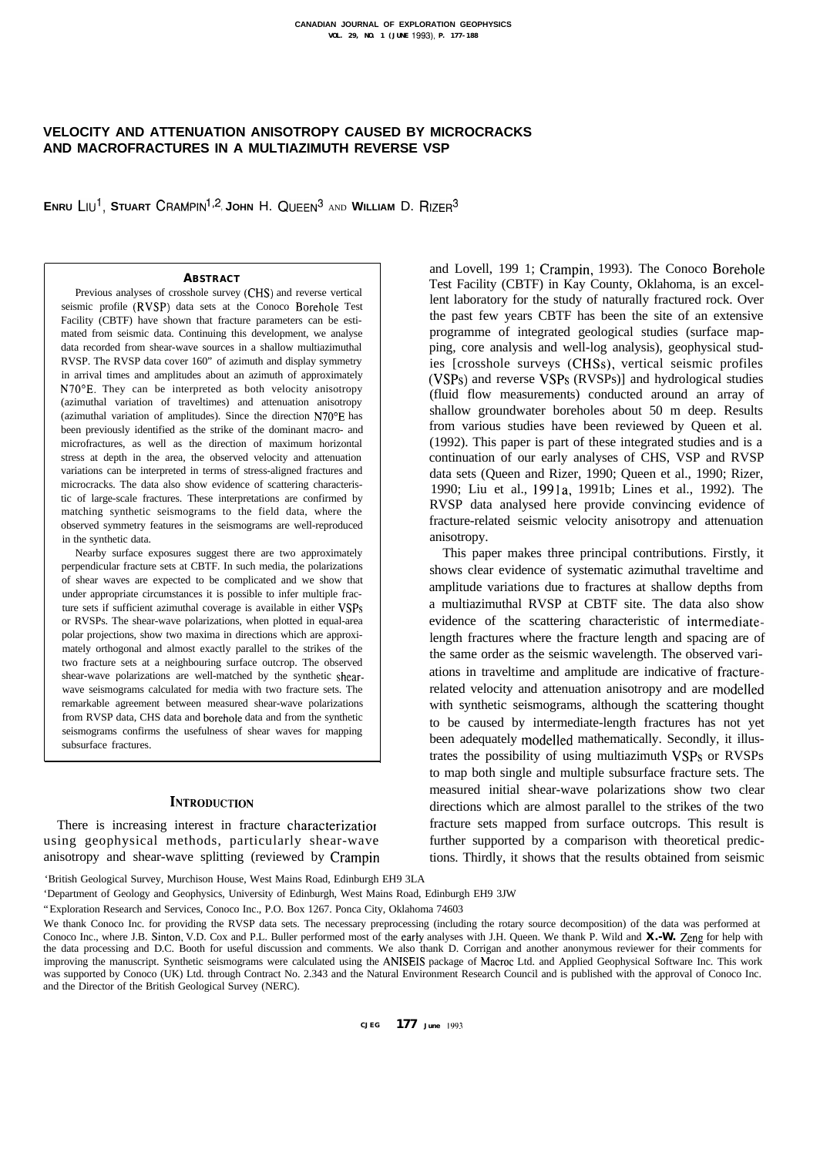# **VELOCITY AND ATTENUATION ANISOTROPY CAUSED BY MICROCRACKS AND MACROFRACTURES IN A MULTIAZIMUTH REVERSE VSP**

**ENRU** LIU<sup>1</sup>, STUART CRAMPIN<sup>1,2</sup>, JOHN H. QUEEN<sup>3</sup> AND WILLIAM D. RIZER<sup>3</sup>

#### **ABSTRACT**

Previous analyses of crosshole survey (CHS) and reverse vertical seismic profile (RVSP) data sets at the Conoco Borehole Test Facility (CBTF) have shown that fracture parameters can be estimated from seismic data. Continuing this development, we analyse data recorded from shear-wave sources in a shallow multiazimuthal RVSP. The RVSP data cover 160" of azimuth and display symmetry in arrival times and amplitudes about an azimuth of approximately N70"E. They can be interpreted as both velocity anisotropy (azimuthal variation of traveltimes) and attenuation anisotropy (azimuthal variation of amplitudes). Since the direction N70"E has been previously identified as the strike of the dominant macro- and microfractures, as well as the direction of maximum horizontal stress at depth in the area, the observed velocity and attenuation variations can be interpreted in terms of stress-aligned fractures and microcracks. The data also show evidence of scattering characteristic of large-scale fractures. These interpretations are confirmed by matching synthetic seismograms to the field data, where the observed symmetry features in the seismograms are well-reproduced in the synthetic data.

Nearby surface exposures suggest there are two approximately perpendicular fracture sets at CBTF. In such media, the polarizations of shear waves are expected to be complicated and we show that under appropriate circumstances it is possible to infer multiple fracture sets if sufficient azimuthal coverage is available in either VSPs or RVSPs. The shear-wave polarizations, when plotted in equal-area polar projections, show two maxima in directions which are approximately orthogonal and almost exactly parallel to the strikes of the two fracture sets at a neighbouring surface outcrop. The observed shear-wave polarizations are well-matched by the synthetic shearwave seismograms calculated for media with two fracture sets. The remarkable agreement between measured shear-wave polarizations from RVSP data, CHS data and borehole data and from the synthetic seismograms confirms the usefulness of shear waves for mapping subsurface fractures.

## **INTRODUCTION**

There is increasing interest in fracture characterizatior using geophysical methods, particularly shear-wave anisotropy and shear-wave splitting (reviewed by Crampin and Lovell, 199 1; Crampin, 1993). The Conoco Borehole Test Facility (CBTF) in Kay County, Oklahoma, is an excellent laboratory for the study of naturally fractured rock. Over the past few years CBTF has been the site of an extensive programme of integrated geological studies (surface mapping, core analysis and well-log analysis), geophysical studies [crosshole surveys (CHSs), vertical seismic profiles (VSPs) and reverse VSPs (RVSPs)] and hydrological studies (fluid flow measurements) conducted around an array of shallow groundwater boreholes about 50 m deep. Results from various studies have been reviewed by Queen et al. (1992). This paper is part of these integrated studies and is a continuation of our early analyses of CHS, VSP and RVSP data sets (Queen and Rizer, 1990; Queen et al., 1990; Rizer, 1990; Liu et al., 1991a, 1991b; Lines et al., 1992). The RVSP data analysed here provide convincing evidence of fracture-related seismic velocity anisotropy and attenuation anisotropy.

This paper makes three principal contributions. Firstly, it shows clear evidence of systematic azimuthal traveltime and amplitude variations due to fractures at shallow depths from a multiazimuthal RVSP at CBTF site. The data also show evidence of the scattering characteristic of intermediatelength fractures where the fracture length and spacing are of the same order as the seismic wavelength. The observed variations in traveltime and amplitude are indicative of fracturerelated velocity and attenuation anisotropy and are modelled with synthetic seismograms, although the scattering thought to be caused by intermediate-length fractures has not yet been adequately modelled mathematically. Secondly, it illustrates the possibility of using multiazimuth VSPs or RVSPs to map both single and multiple subsurface fracture sets. The measured initial shear-wave polarizations show two clear directions which are almost parallel to the strikes of the two fracture sets mapped from surface outcrops. This result is further supported by a comparison with theoretical predictions. Thirdly, it shows that the results obtained from seismic

'British Geological Survey, Murchison House, West Mains Road, Edinburgh EH9 3LA

'Department of Geology and Geophysics, University of Edinburgh, West Mains Road, Edinburgh EH9 3JW

"Exploration Research and Services, Conoco Inc., P.O. Box 1267. Ponca City, Oklahoma 74603

We thank Conoco Inc. for providing the RVSP data sets. The necessary preprocessing (including the rotary source decomposition) of the data was performed at Conoco Inc., where J.B. Sinton, V.D. Cox and P.L. Buller performed most of the earty analyses with J.H. Queen. We thank P. Wild and **X.-W.** Zeng for help with the data processing and D.C. Booth for useful discussion and comments. We also thank D. Corrigan and another anonymous reviewer for their comments for improving the manuscript. Synthetic seismograms were calculated using the ANISEIS package of Macroc Ltd. and Applied Geophysical Software Inc. This work was supported by Conoco (UK) Ltd. through Contract No. 2.343 and the Natural Environment Research Council and is published with the approval of Conoco Inc. and the Director of the British Geological Survey (NERC).

**CJEG 177 June 1993**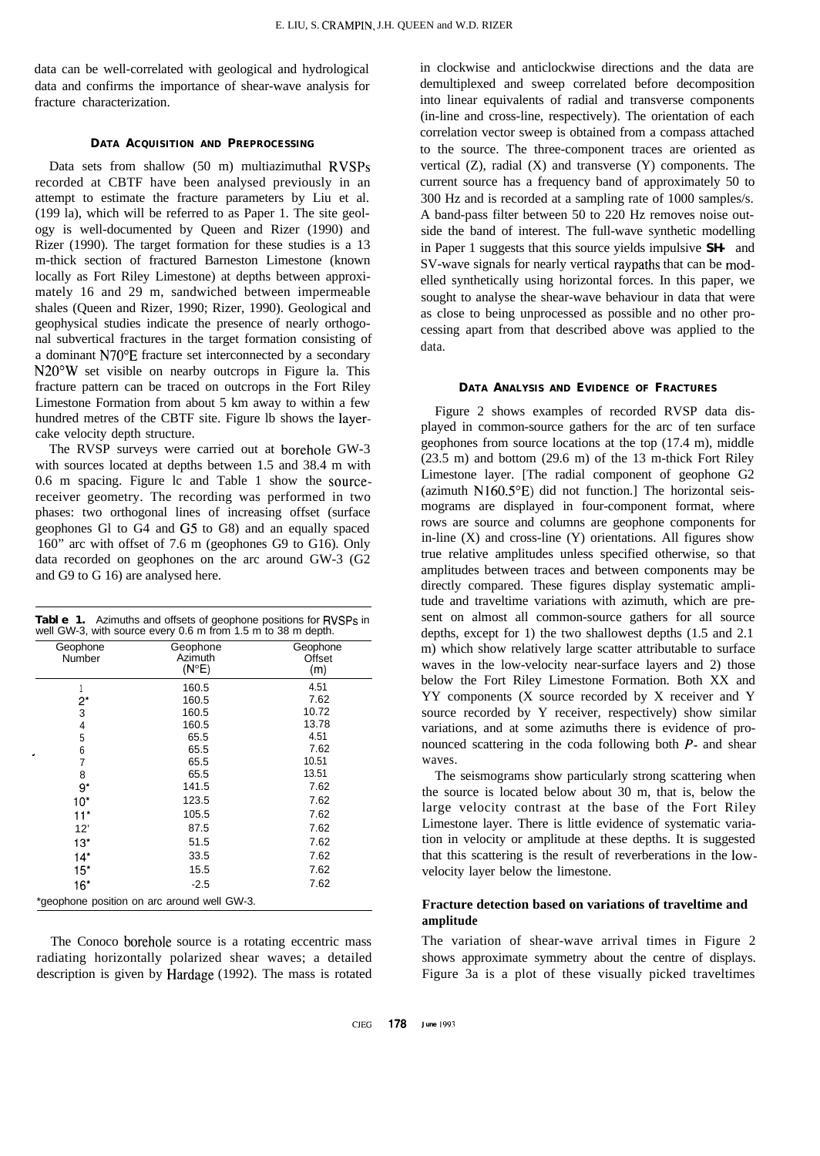data can be well-correlated with geological and hydrological data and confirms the importance of shear-wave analysis for fracture characterization.

### **DATA ACQUISITION AND PREPROCESSING**

Data sets from shallow (50 m) multiazimuthal RVSPs recorded at CBTF have been analysed previously in an attempt to estimate the fracture parameters by Liu et al. (199 la), which will be referred to as Paper 1. The site geology is well-documented by Queen and Rizer (1990) and Rizer (1990). The target formation for these studies is a 13 m-thick section of fractured Barneston Limestone (known locally as Fort Riley Limestone) at depths between approximately 16 and 29 m, sandwiched between impermeable shales (Queen and Rizer, 1990; Rizer, 1990). Geological and geophysical studies indicate the presence of nearly orthogonal subvertical fractures in the target formation consisting of a dominant N70"E fracture set interconnected by a secondary N20"W set visible on nearby outcrops in Figure la. This fracture pattern can be traced on outcrops in the Fort Riley Limestone Formation from about 5 km away to within a few hundred metres of the CBTF site. Figure lb shows the layercake velocity depth structure.

The RVSP surveys were carried out at borehole GW-3 with sources located at depths between 1.5 and 38.4 m with 0.6 m spacing. Figure lc and Table 1 show the sourcereceiver geometry. The recording was performed in two phases: two orthogonal lines of increasing offset (surface geophones Gl to G4 and G5 to G8) and an equally spaced 160" arc with offset of 7.6 m (geophones G9 to G16). Only data recorded on geophones on the arc around GW-3 (G2 and G9 to G 16) are analysed here.

| Table 1. Azimuths and offsets of geophone positions for RVSPs in |
|------------------------------------------------------------------|
| well GW-3, with source every 0.6 m from 1.5 m to 38 m depth.     |

| Geophone<br>Number | Geophone<br>Azimuth<br>$(N^{\circ}E)$       | Geophone<br>Offset<br>(m) |
|--------------------|---------------------------------------------|---------------------------|
|                    | 160.5                                       | 4.51                      |
| $2^*$              | 160.5                                       | 7.62                      |
| 3                  | 160.5                                       | 10.72                     |
| 4                  | 160.5                                       | 13.78                     |
| 5                  | 65.5                                        | 4.51                      |
| 6                  | 65.5                                        | 7.62                      |
| $\overline{7}$     | 65.5                                        | 10.51                     |
| 8                  | 65.5                                        | 13.51                     |
| $9*$               | 141.5                                       | 7.62                      |
| $10^*$             | 123.5                                       | 7.62                      |
| $11*$              | 105.5                                       | 7.62                      |
| 12'                | 87.5                                        | 7.62                      |
| 13"                | 51.5                                        | 7.62                      |
| $14*$              | 33.5                                        | 7.62                      |
| 15"                | 15.5                                        | 7.62                      |
| $16*$              | $-2.5$                                      | 7.62                      |
|                    | *geophone position on arc around well GW-3. |                           |

The Conoco borehole source is a rotating eccentric mass radiating horizontally polarized shear waves; a detailed description is given by Hardage (1992). The mass is rotated in clockwise and anticlockwise directions and the data are demultiplexed and sweep correlated before decomposition into linear equivalents of radial and transverse components (in-line and cross-line, respectively). The orientation of each correlation vector sweep is obtained from a compass attached to the source. The three-component traces are oriented as vertical  $(Z)$ , radial  $(X)$  and transverse  $(Y)$  components. The current source has a frequency band of approximately 50 to 300 Hz and is recorded at a sampling rate of 1000 samples/s. A band-pass filter between 50 to 220 Hz removes noise outside the band of interest. The full-wave synthetic modelling in Paper 1 suggests that this source yields impulsive **SH-** and SV-wave signals for nearly vertical raypaths that can be modelled synthetically using horizontal forces. In this paper, we sought to analyse the shear-wave behaviour in data that were as close to being unprocessed as possible and no other processing apart from that described above was applied to the data.

#### **DATA ANALYSIS AND EVIDENCE OF FRACTURES**

Figure 2 shows examples of recorded RVSP data displayed in common-source gathers for the arc of ten surface geophones from source locations at the top (17.4 m), middle (23.5 m) and bottom (29.6 m) of the 13 m-thick Fort Riley Limestone layer. [The radial component of geophone G2 (azimuth  $N160.5^{\circ}E$ ) did not function.] The horizontal seismograms are displayed in four-component format, where rows are source and columns are geophone components for in-line  $(X)$  and cross-line  $(Y)$  orientations. All figures show true relative amplitudes unless specified otherwise, so that amplitudes between traces and between components may be directly compared. These figures display systematic amplitude and traveltime variations with azimuth, which are present on almost all common-source gathers for all source depths, except for 1) the two shallowest depths (1.5 and 2.1 m) which show relatively large scatter attributable to surface waves in the low-velocity near-surface layers and 2) those below the Fort Riley Limestone Formation. Both XX and YY components (X source recorded by X receiver and Y source recorded by Y receiver, respectively) show similar variations, and at some azimuths there is evidence of pronounced scattering in the coda following both  $P$ - and shear waves.

The seismograms show particularly strong scattering when the source is located below about 30 m, that is, below the large velocity contrast at the base of the Fort Riley Limestone layer. There is little evidence of systematic variation in velocity or amplitude at these depths. It is suggested that this scattering is the result of reverberations in the lowvelocity layer below the limestone.

# **Fracture detection based on variations of traveltime and amplitude**

The variation of shear-wave arrival times in Figure 2 shows approximate symmetry about the centre of displays. Figure 3a is a plot of these visually picked traveltimes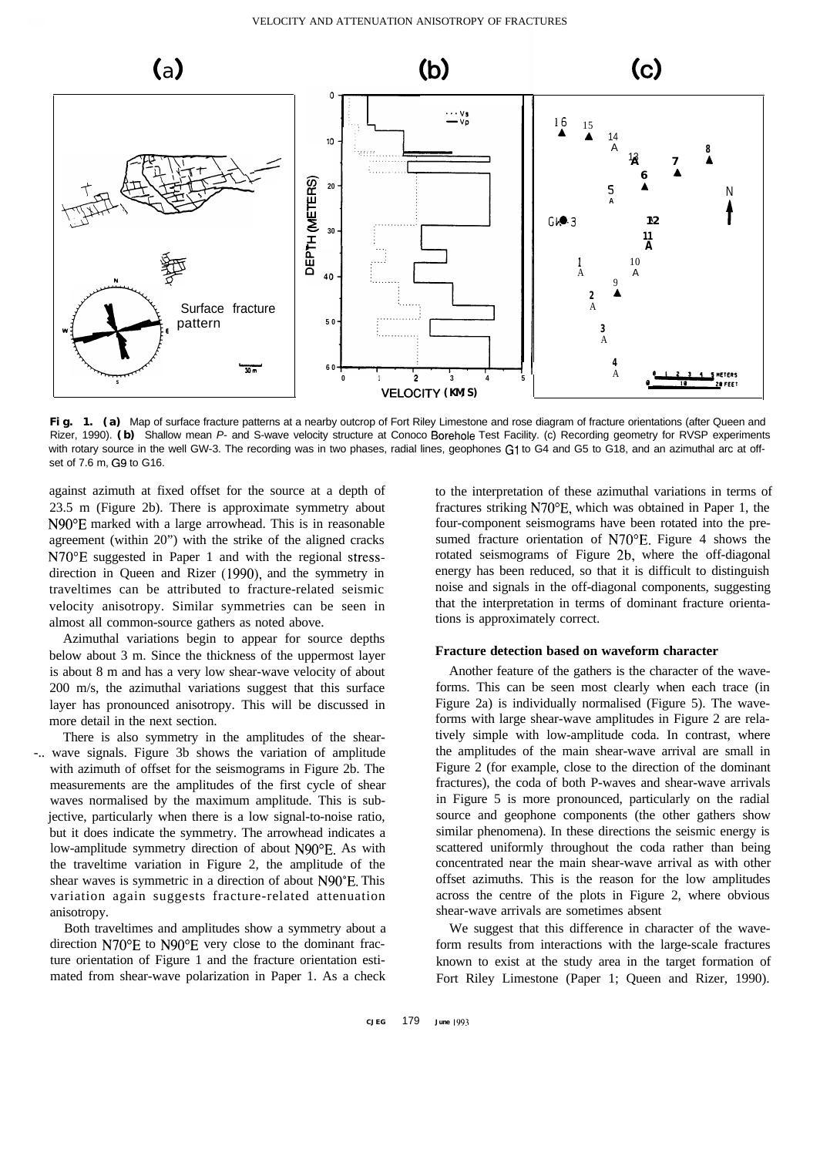

Fig. 1. (a) Map of surface fracture patterns at a nearby outcrop of Fort Riley Limestone and rose diagram of fracture orientations (after Queen and Rizer, 1990). **(b)** Shallow mean *P-* and S-wave velocity structure at Conoco Borehole Test Facility. (c) Recording geometry for RVSP experiments with rotary source in the well GW-3. The recording was in two phases, radial lines, geophones G1 to G4 and G5 to G18, and an azimuthal arc at offset of 7.6 m, G9 to G16.

23.5 m (Figure 2b). There is approximate symmetry about N90"E marked with a large arrowhead. This is in reasonable agreement (within 20") with the strike of the aligned cracks N70"E suggested in Paper 1 and with the regional stressdirection in Queen and Rizer (1990), and the symmetry in traveltimes can be attributed to fracture-related seismic<br>velocity anisotropy Similar symmetries can be seen in that the interpretation in terms of dominant fracture orientavelocity anisotropy. Similar symmetries can be seen in that the interpretation in terms of all common-source gathers as noted above tions is approximately correct. almost all common-source gathers as noted above.

Azimuthal variations begin to appear for source depths below about 3 m. Since the thickness of the uppermost layer is about 8 m and has a very low shear-wave velocity of about 200 m/s, the azimuthal variations suggest that this surface layer has pronounced anisotropy. This will be discussed in more detail in the next section.

There is also symmetry in the amplitudes of the shear- -.. wave signals. Figure 3b shows the variation of amplitude with azimuth of offset for the seismograms in Figure 2b. The measurements are the amplitudes of the first cycle of shear waves normalised by the maximum amplitude. This is subjective, particularly when there is a low signal-to-noise ratio, but it does indicate the symmetry. The arrowhead indicates a low-amplitude symmetry direction of about N90"E. As with the traveltime variation in Figure 2, the amplitude of the shear waves is symmetric in a direction of about N90"E. This variation again suggests fracture-related attenuation anisotropy.

Both traveltimes and amplitudes show a symmetry about a direction N70°E to N90°E very close to the dominant fracture orientation of Figure 1 and the fracture orientation estimated from shear-wave polarization in Paper 1. As a check

against azimuth at fixed offset for the source at a depth of to the interpretation of these azimuthal variations in terms of fractures striking N70°E, which was obtained in Paper 1, the four-component seismograms have been rotated into the presumed fracture orientation of N70°E. Figure 4 shows the rotated seismograms of Figure 2b, where the off-diagonal energy has been reduced, so that it is difficult to distinguish

#### **Fracture detection based on waveform character**

Another feature of the gathers is the character of the waveforms. This can be seen most clearly when each trace (in Figure 2a) is individually normalised (Figure 5). The waveforms with large shear-wave amplitudes in Figure 2 are relatively simple with low-amplitude coda. In contrast, where the amplitudes of the main shear-wave arrival are small in Figure 2 (for example, close to the direction of the dominant fractures), the coda of both P-waves and shear-wave arrivals in Figure 5 is more pronounced, particularly on the radial source and geophone components (the other gathers show similar phenomena). In these directions the seismic energy is scattered uniformly throughout the coda rather than being concentrated near the main shear-wave arrival as with other offset azimuths. This is the reason for the low amplitudes across the centre of the plots in Figure 2, where obvious shear-wave arrivals are sometimes absent

We suggest that this difference in character of the waveform results from interactions with the large-scale fractures known to exist at the study area in the target formation of Fort Riley Limestone (Paper 1; Queen and Rizer, 1990).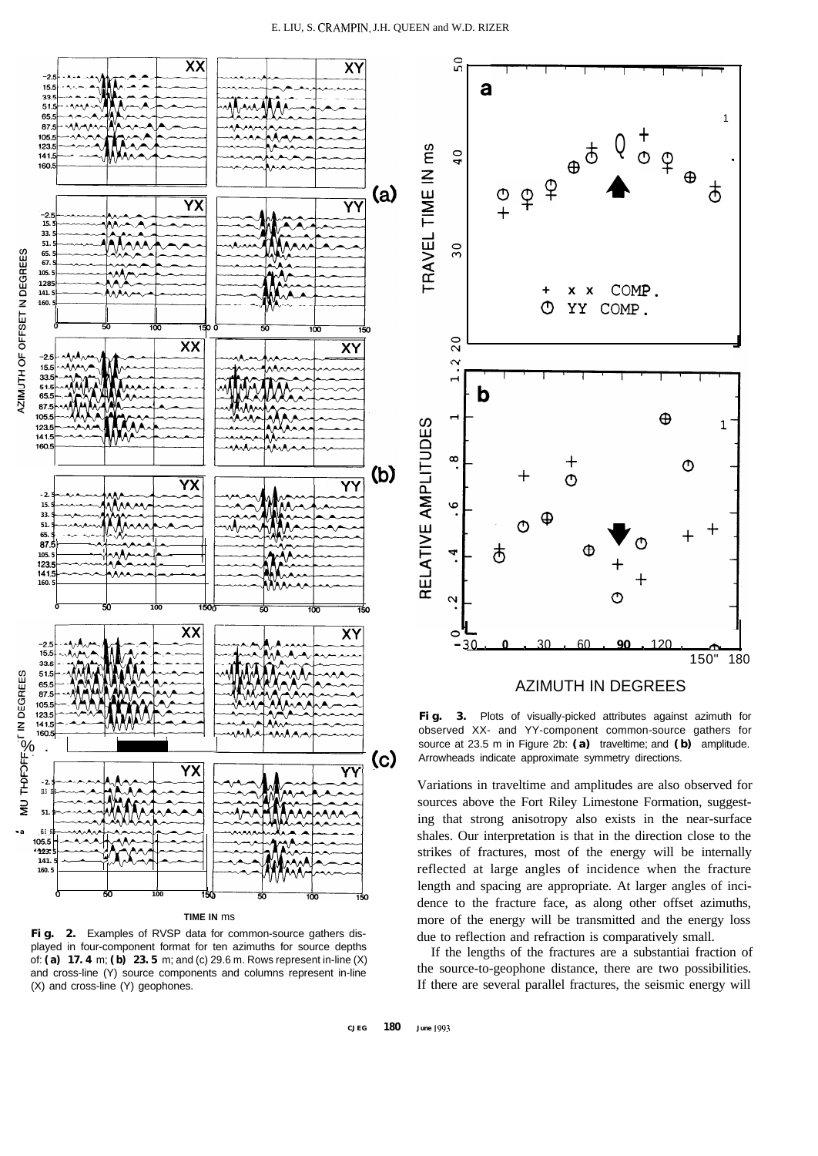a

 $50$ 



**TIME IN** ms

**Fig. 2.** Examples of RVSP data for common-source gathers displayed in four-component format for ten azimuths for source depths of: **(a) 17.4** m; **(b) 23.5** m; and (c) 29.6 m. Rows represent in-line (X) and cross-line (Y) source components and columns represent in-line (X) and cross-line (Y) geophones.



1

AZIMUTH IN DEGREES

**Fig. 3.** Plots of visually-picked attributes against azimuth for observed XX- and YY-component common-source gathers for source at 23.5 m in Figure 2b: **(a)** traveltime; and **(b)** amplitude. Arrowheads indicate approximate symmetry directions.

Variations in traveltime and amplitudes are also observed for sources above the Fort Riley Limestone Formation, suggesting that strong anisotropy also exists in the near-surface shales. Our interpretation is that in the direction close to the strikes of fractures, most of the energy will be internally reflected at large angles of incidence when the fracture length and spacing are appropriate. At larger angles of incidence to the fracture face, as along other offset azimuths, more of the energy will be transmitted and the energy loss due to reflection and refraction is comparatively small.

If the lengths of the fractures are a substantiai fraction of the source-to-geophone distance, there are two possibilities. If there are several parallel fractures, the seismic energy will

**CJEG 180 June 1993**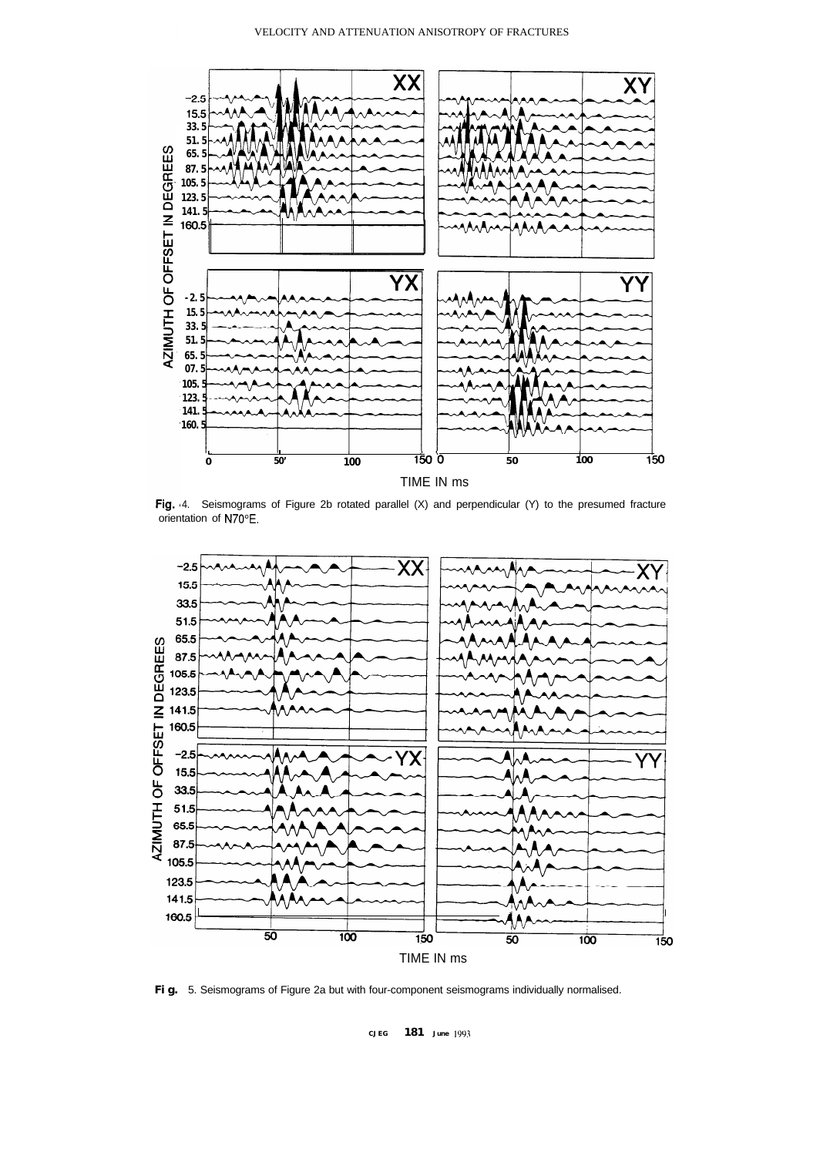

Fig. 4. Seismograms of Figure 2b rotated parallel (X) and perpendicular (Y) to the presumed fracture orientation of N70°E.



**Fig.** 5. Seismograms of Figure 2a but with four-component seismograms individually normalised.

**CJEG 181 June 1993**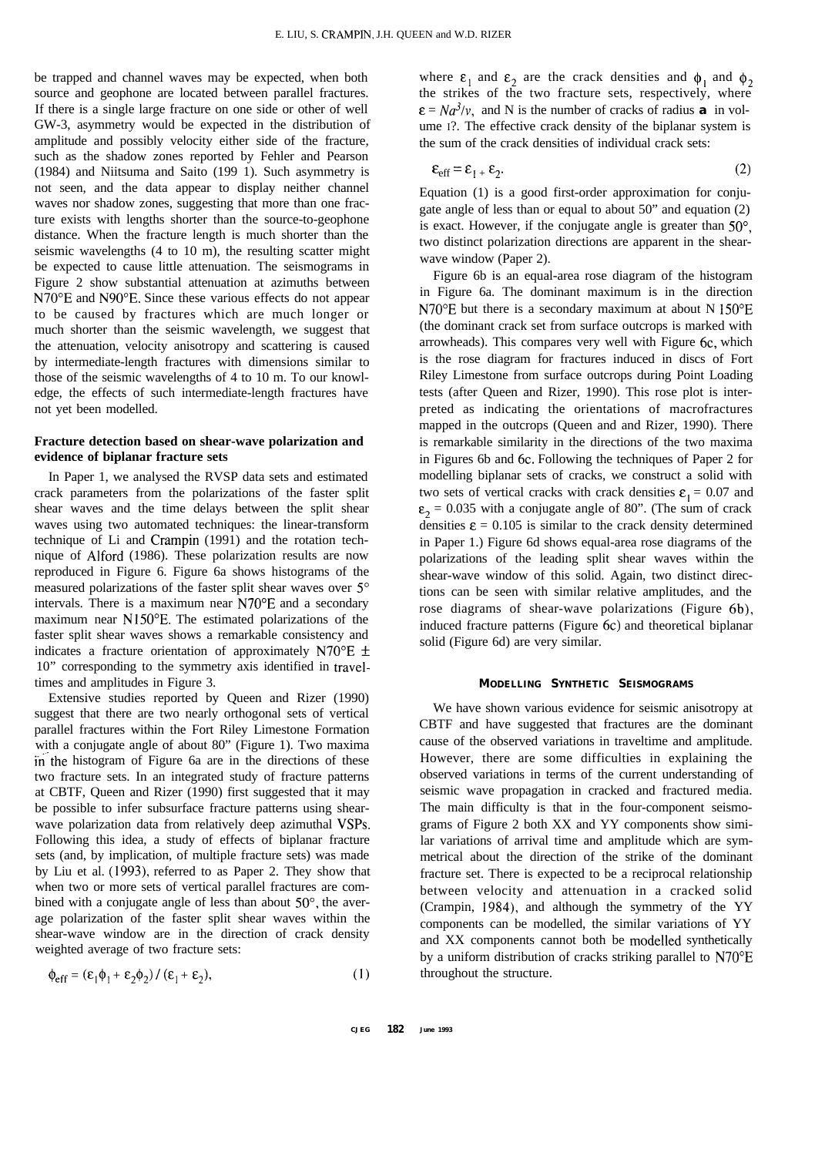be trapped and channel waves may be expected, when both source and geophone are located between parallel fractures. If there is a single large fracture on one side or other of well GW-3, asymmetry would be expected in the distribution of amplitude and possibly velocity either side of the fracture, such as the shadow zones reported by Fehler and Pearson (1984) and Niitsuma and Saito (199 1). Such asymmetry is not seen, and the data appear to display neither channel waves nor shadow zones, suggesting that more than one fracture exists with lengths shorter than the source-to-geophone distance. When the fracture length is much shorter than the seismic wavelengths (4 to 10 m), the resulting scatter might be expected to cause little attenuation. The seismograms in Figure 2 show substantial attenuation at azimuths between N70"E and N90"E. Since these various effects do not appear to be caused by fractures which are much longer or much shorter than the seismic wavelength, we suggest that the attenuation, velocity anisotropy and scattering is caused by intermediate-length fractures with dimensions similar to those of the seismic wavelengths of 4 to 10 m. To our knowledge, the effects of such intermediate-length fractures have not yet been modelled.

# **Fracture detection based on shear-wave polarization and evidence of biplanar fracture sets**

In Paper 1, we analysed the RVSP data sets and estimated crack parameters from the polarizations of the faster split shear waves and the time delays between the split shear waves using two automated techniques: the linear-transform technique of Li and Crampin (1991) and the rotation technique of Alford (1986). These polarization results are now reproduced in Figure 6. Figure 6a shows histograms of the measured polarizations of the faster split shear waves over 5° intervals. There is a maximum near N70"E and a secondary maximum near N150"E. The estimated polarizations of the faster split shear waves shows a remarkable consistency and indicates a fracture orientation of approximately N70 $^{\circ}$ E  $\pm$ 10" corresponding to the symmetry axis identified in traveltimes and amplitudes in Figure 3.

Extensive studies reported by Queen and Rizer (1990) suggest that there are two nearly orthogonal sets of vertical parallel fractures within the Fort Riley Limestone Formation with a conjugate angle of about 80" (Figure 1). Two maxima in the histogram of Figure 6a are in the directions of these two fracture sets. In an integrated study of fracture patterns at CBTF, Queen and Rizer (1990) first suggested that it may be possible to infer subsurface fracture patterns using shearwave polarization data from relatively deep azimuthal VSPs. Following this idea, a study of effects of biplanar fracture sets (and, by implication, of multiple fracture sets) was made by Liu et al. (1993), referred to as Paper 2. They show that when two or more sets of vertical parallel fractures are combined with a conjugate angle of less than about 50°, the average polarization of the faster split shear waves within the shear-wave window are in the direction of crack density weighted average of two fracture sets:

$$
\Phi_{eff} = (\varepsilon_1 \Phi_1 + \varepsilon_2 \Phi_2) / (\varepsilon_1 + \varepsilon_2),
$$
 (1)

where  $\epsilon_1$  and  $\epsilon_2$  are the crack densities and  $\phi_1$  and  $\phi_2$ the strikes of the two fracture sets, respectively, where  $\varepsilon = Na^{3}/v$ , and N is the number of cracks of radius **a** in volume I?. The effective crack density of the biplanar system is the sum of the crack densities of individual crack sets:

$$
\varepsilon_{\rm eff} = \varepsilon_{1} + \varepsilon_{2}.\tag{2}
$$

Equation (1) is a good first-order approximation for conjugate angle of less than or equal to about 50" and equation (2) is exact. However, if the conjugate angle is greater than 50°, two distinct polarization directions are apparent in the shearwave window (Paper 2).

Figure 6b is an equal-area rose diagram of the histogram in Figure 6a. The dominant maximum is in the direction N70"E but there is a secondary maximum at about N 150"E (the dominant crack set from surface outcrops is marked with arrowheads). This compares very well with Figure 6c, which is the rose diagram for fractures induced in discs of Fort Riley Limestone from surface outcrops during Point Loading tests (after Queen and Rizer, 1990). This rose plot is interpreted as indicating the orientations of macrofractures mapped in the outcrops (Queen and and Rizer, 1990). There is remarkable similarity in the directions of the two maxima in Figures 6b and 6c. Following the techniques of Paper 2 for modelling biplanar sets of cracks, we construct a solid with two sets of vertical cracks with crack densities  $\varepsilon_1 = 0.07$  and  $\epsilon_2$  = 0.035 with a conjugate angle of 80". (The sum of crack densities  $\epsilon = 0.105$  is similar to the crack density determined in Paper 1.) Figure 6d shows equal-area rose diagrams of the polarizations of the leading split shear waves within the shear-wave window of this solid. Again, two distinct directions can be seen with similar relative amplitudes, and the rose diagrams of shear-wave polarizations (Figure 6b), induced fracture patterns (Figure 6c) and theoretical biplanar solid (Figure 6d) are very similar.

#### **MODELLING SYNTHETIC SEISMOGRAMS**

We have shown various evidence for seismic anisotropy at CBTF and have suggested that fractures are the dominant cause of the observed variations in traveltime and amplitude. However, there are some difficulties in explaining the observed variations in terms of the current understanding of seismic wave propagation in cracked and fractured media. The main difficulty is that in the four-component seismograms of Figure 2 both XX and YY components show similar variations of arrival time and amplitude which are symmetrical about the direction of the strike of the dominant fracture set. There is expected to be a reciprocal relationship between velocity and attenuation in a cracked solid (Crampin, 1984), and although the symmetry of the YY components can be modelled, the similar variations of YY and XX components cannot both be modelled synthetically by a uniform distribution of cracks striking parallel to N70"E throughout the structure.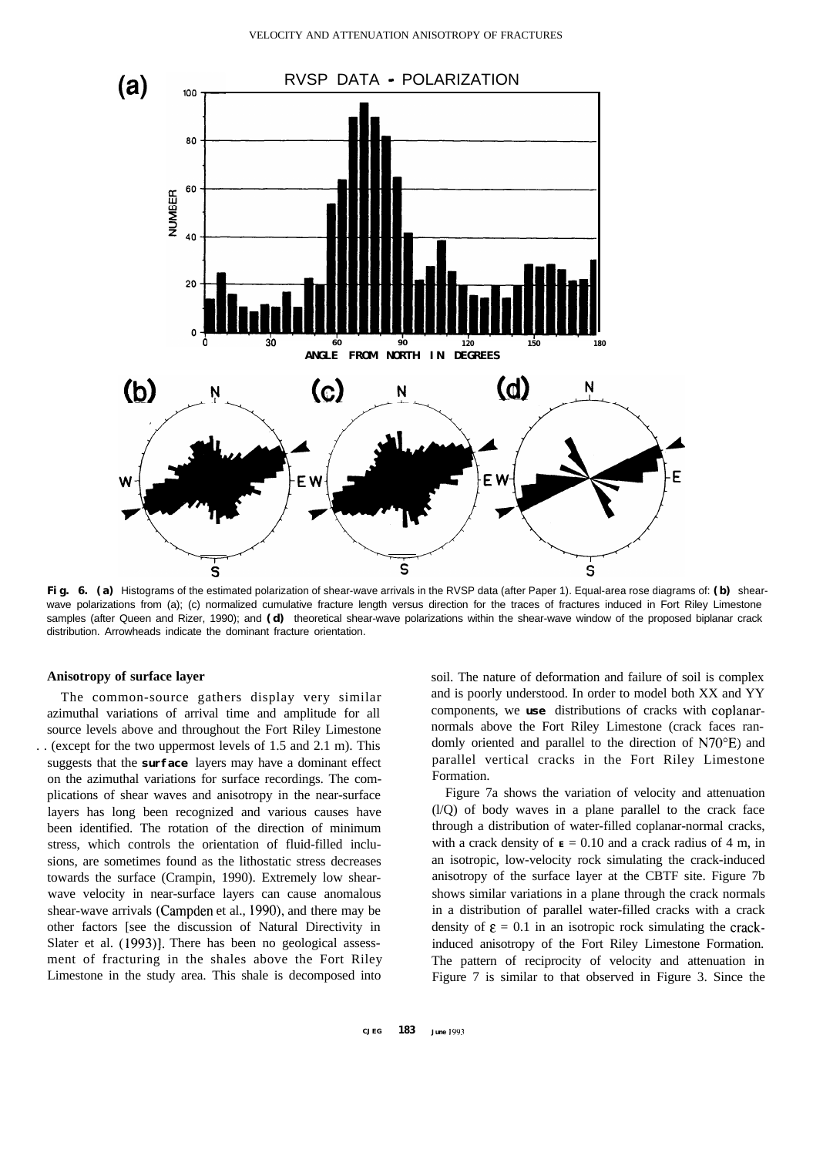

**Fig. 6. (a)** Histograms of the estimated polarization of shear-wave arrivals in the RVSP data (after Paper 1). Equal-area rose diagrams of: **(b)** shearwave polarizations from (a); (c) normalized cumulative fracture length versus direction for the traces of fractures induced in Fort Riley Limestone samples (after Queen and Rizer, 1990); and **(d)** theoretical shear-wave polarizations within the shear-wave window of the proposed biplanar crack distribution. Arrowheads indicate the dominant fracture orientation.

## **Anisotropy of surface layer**

The common-source gathers display very similar azimuthal variations of arrival time and amplitude for all source levels above and throughout the Fort Riley Limestone . . (except for the two uppermost levels of 1.5 and 2.1 m). This suggests that the **surface** layers may have a dominant effect on the azimuthal variations for surface recordings. The complications of shear waves and anisotropy in the near-surface layers has long been recognized and various causes have been identified. The rotation of the direction of minimum stress, which controls the orientation of fluid-filled inclusions, are sometimes found as the lithostatic stress decreases towards the surface (Crampin, 1990). Extremely low shearwave velocity in near-surface layers can cause anomalous shear-wave arrivals (Campden et al., 1990), and there may be other factors [see the discussion of Natural Directivity in Slater et al. (1993)]. There has been no geological assessment of fracturing in the shales above the Fort Riley Limestone in the study area. This shale is decomposed into

soil. The nature of deformation and failure of soil is complex and is poorly understood. In order to model both XX and YY components, we **use** distributions of cracks with coplanarnormals above the Fort Riley Limestone (crack faces randomly oriented and parallel to the direction of N70"E) and parallel vertical cracks in the Fort Riley Limestone Formation.

Figure 7a shows the variation of velocity and attenuation (l/Q) of body waves in a plane parallel to the crack face through a distribution of water-filled coplanar-normal cracks, with a crack density of  $\mathbf{E} = 0.10$  and a crack radius of 4 m, in an isotropic, low-velocity rock simulating the crack-induced anisotropy of the surface layer at the CBTF site. Figure 7b shows similar variations in a plane through the crack normals in a distribution of parallel water-filled cracks with a crack density of  $\epsilon = 0.1$  in an isotropic rock simulating the crackinduced anisotropy of the Fort Riley Limestone Formation. The pattern of reciprocity of velocity and attenuation in Figure 7 is similar to that observed in Figure 3. Since the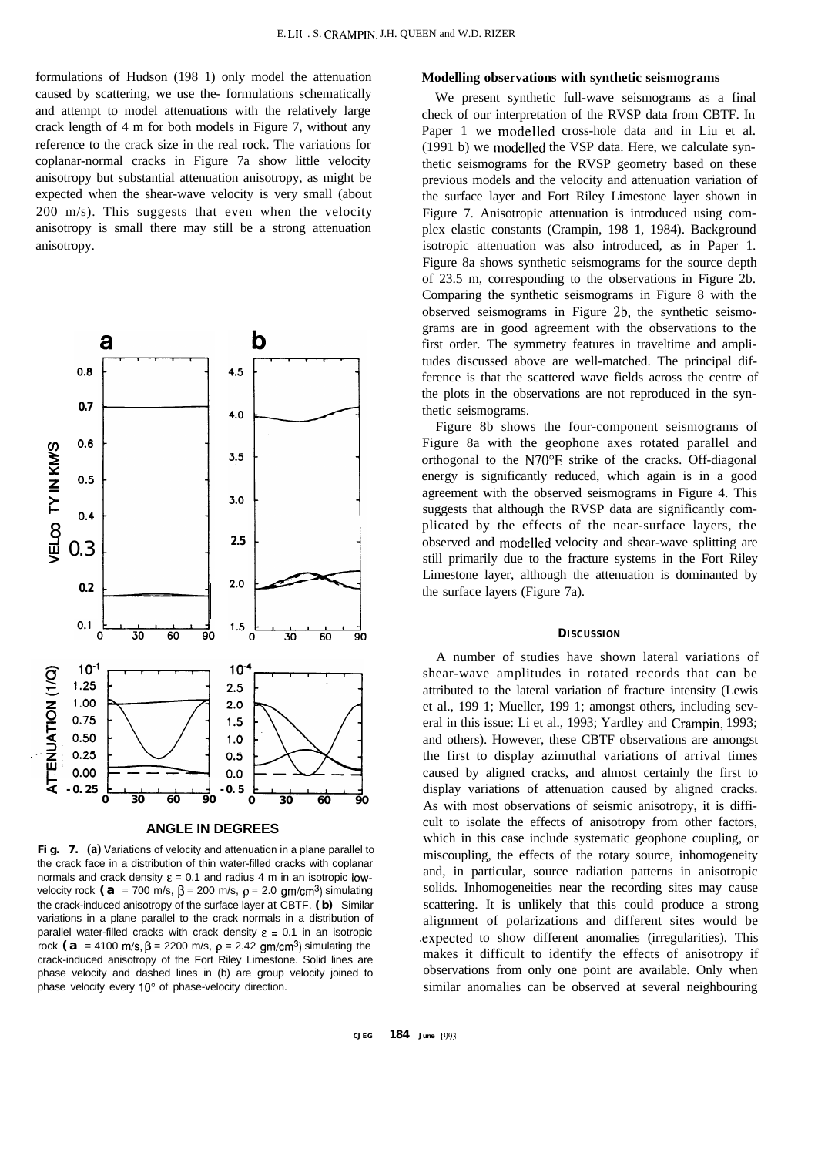formulations of Hudson (198 1) only model the attenuation caused by scattering, we use the- formulations schematically and attempt to model attenuations with the relatively large crack length of 4 m for both models in Figure 7, without any reference to the crack size in the real rock. The variations for coplanar-normal cracks in Figure 7a show little velocity anisotropy but substantial attenuation anisotropy, as might be expected when the shear-wave velocity is very small (about 200 m/s). This suggests that even when the velocity anisotropy is small there may still be a strong attenuation anisotropy.



## **ANGLE IN DEGREES**

Fig. 7. (a) Variations of velocity and attenuation in a plane parallel to the crack face in a distribution of thin water-filled cracks with coplanar normals and crack density  $\varepsilon = 0.1$  and radius 4 m in an isotropic lowvelocity rock  $(a = 700 \text{ m/s}, \beta = 200 \text{ m/s}, \rho = 2.0 \text{ gm/cm}^3)$  simulating the crack-induced anisotropy of the surface layer at CBTF. **(b)** Similar variations in a plane parallel to the crack normals in a distribution of parallel water-filled cracks with crack density  $\varepsilon = 0.1$  in an isotropic rock **(a** = 4100 m/s,  $\beta$  = 2200 m/s,  $\rho$  = 2.42 gm/cm<sup>3</sup>) simulating the crack-induced anisotropy of the Fort Riley Limestone. Solid lines are phase velocity and dashed lines in (b) are group velocity joined to phase velocity every 10° of phase-velocity direction.

#### **Modelling observations with synthetic seismograms**

We present synthetic full-wave seismograms as a final check of our interpretation of the RVSP data from CBTF. In Paper 1 we modelled cross-hole data and in Liu et al. (1991 b) we modelled the VSP data. Here, we calculate synthetic seismograms for the RVSP geometry based on these previous models and the velocity and attenuation variation of the surface layer and Fort Riley Limestone layer shown in Figure 7. Anisotropic attenuation is introduced using complex elastic constants (Crampin, 198 1, 1984). Background isotropic attenuation was also introduced, as in Paper 1. Figure 8a shows synthetic seismograms for the source depth of 23.5 m, corresponding to the observations in Figure 2b. Comparing the synthetic seismograms in Figure 8 with the observed seismograms in Figure 2b, the synthetic seismograms are in good agreement with the observations to the first order. The symmetry features in traveltime and amplitudes discussed above are well-matched. The principal difference is that the scattered wave fields across the centre of the plots in the observations are not reproduced in the synthetic seismograms.

Figure 8b shows the four-component seismograms of Figure 8a with the geophone axes rotated parallel and orthogonal to the N70"E strike of the cracks. Off-diagonal energy is significantly reduced, which again is in a good agreement with the observed seismograms in Figure 4. This suggests that although the RVSP data are significantly complicated by the effects of the near-surface layers, the observed and modelled velocity and shear-wave splitting are still primarily due to the fracture systems in the Fort Riley Limestone layer, although the attenuation is dominanted by the surface layers (Figure 7a).

## **DISCUSSION**

A number of studies have shown lateral variations of shear-wave amplitudes in rotated records that can be attributed to the lateral variation of fracture intensity (Lewis et al., 199 1; Mueller, 199 1; amongst others, including several in this issue: Li et al., 1993; Yardley and Crampin, 1993; and others). However, these CBTF observations are amongst the first to display azimuthal variations of arrival times caused by aligned cracks, and almost certainly the first to display variations of attenuation caused by aligned cracks. As with most observations of seismic anisotropy, it is difficult to isolate the effects of anisotropy from other factors, which in this case include systematic geophone coupling, or miscoupling, the effects of the rotary source, inhomogeneity and, in particular, source radiation patterns in anisotropic solids. Inhomogeneities near the recording sites may cause scattering. It is unlikely that this could produce a strong alignment of polarizations and different sites would be .expected to show different anomalies (irregularities). This makes it difficult to identify the effects of anisotropy if observations from only one point are available. Only when similar anomalies can be observed at several neighbouring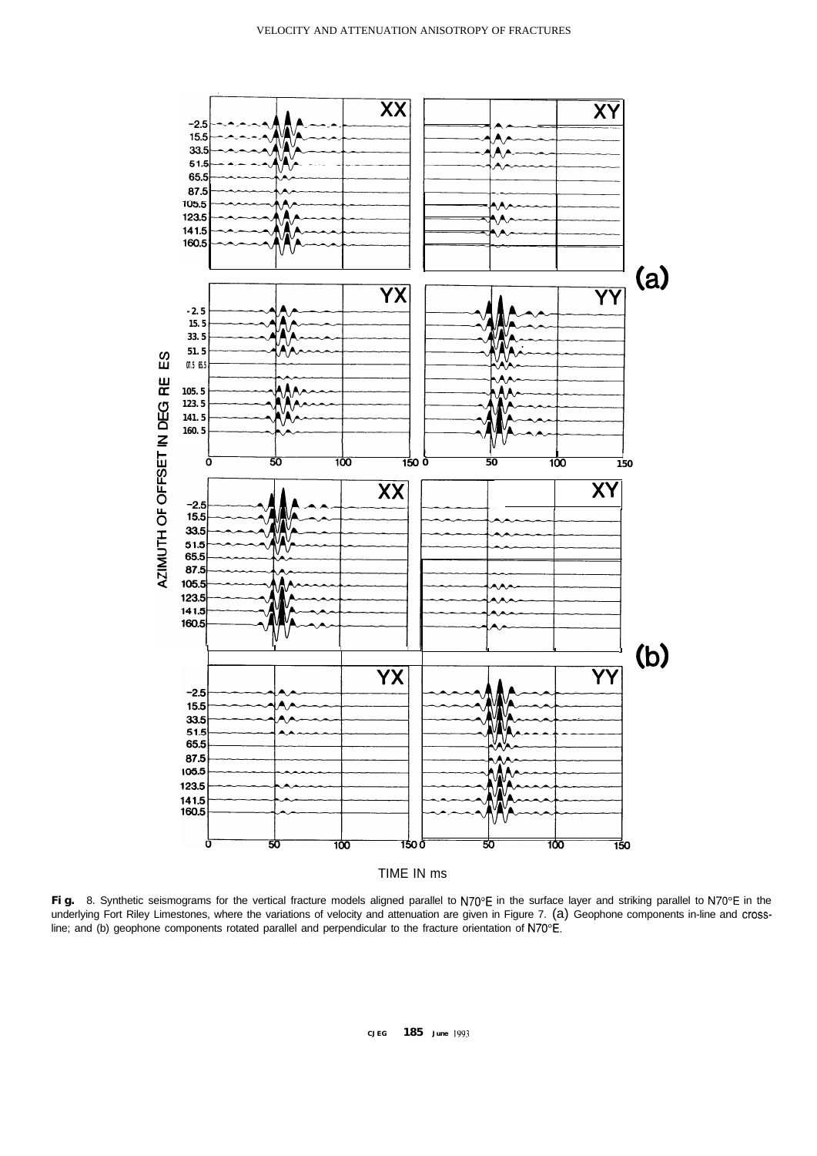

Fig. 8. Synthetic seismograms for the vertical fracture models aligned parallel to N70°E in the surface layer and striking parallel to N70°E in the underlying Fort Riley Limestones, where the variations of velocity and attenuation are given in Figure 7. (a) Geophone components in-line and crossline; and (b) geophone components rotated parallel and perpendicular to the fracture orientation of N70"E.

**CJEG 185 June IYY~**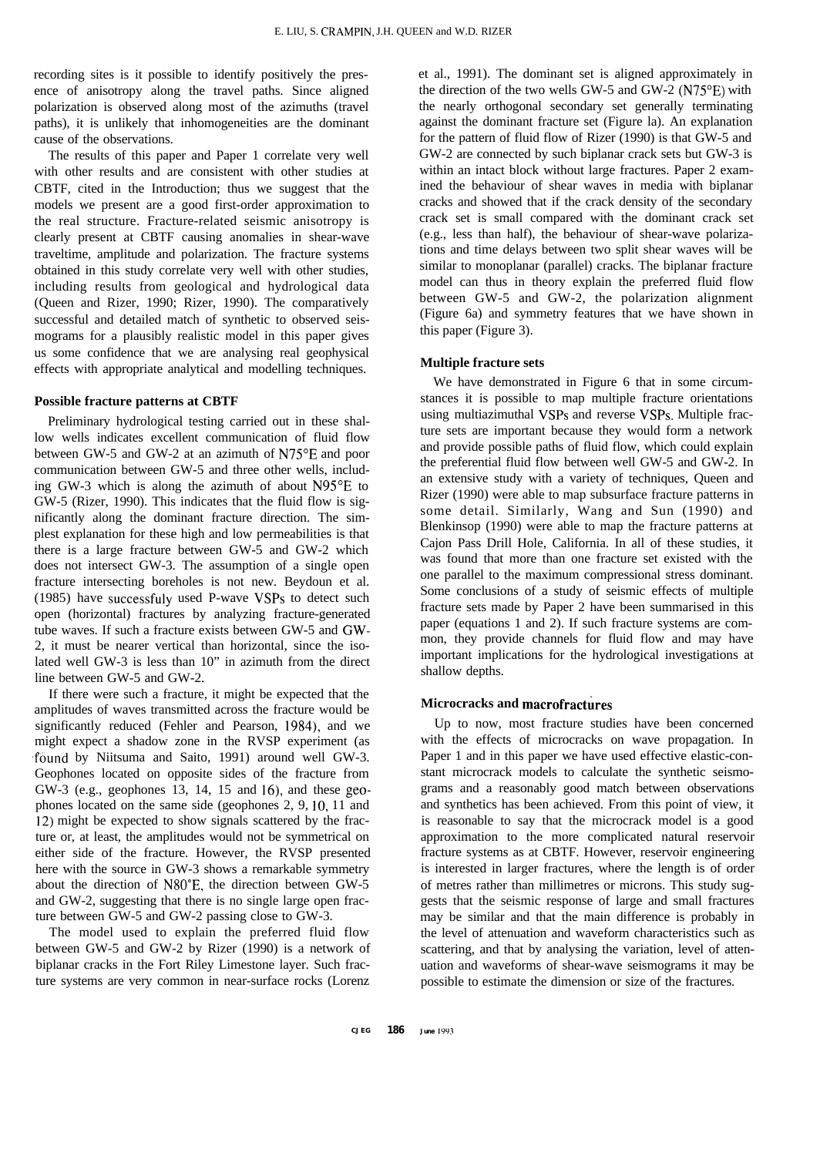recording sites is it possible to identify positively the presence of anisotropy along the travel paths. Since aligned polarization is observed along most of the azimuths (travel paths), it is unlikely that inhomogeneities are the dominant cause of the observations.

The results of this paper and Paper 1 correlate very well with other results and are consistent with other studies at CBTF, cited in the Introduction; thus we suggest that the models we present are a good first-order approximation to the real structure. Fracture-related seismic anisotropy is clearly present at CBTF causing anomalies in shear-wave traveltime, amplitude and polarization. The fracture systems obtained in this study correlate very well with other studies, including results from geological and hydrological data (Queen and Rizer, 1990; Rizer, 1990). The comparatively successful and detailed match of synthetic to observed seismograms for a plausibly realistic model in this paper gives us some confidence that we are analysing real geophysical effects with appropriate analytical and modelling techniques.

## **Possible fracture patterns at CBTF**

Preliminary hydrological testing carried out in these shallow wells indicates excellent communication of fluid flow between GW-5 and GW-2 at an azimuth of N75"E and poor communication between GW-5 and three other wells, including GW-3 which is along the azimuth of about N95"E to GW-5 (Rizer, 1990). This indicates that the fluid flow is significantly along the dominant fracture direction. The simplest explanation for these high and low permeabilities is that there is a large fracture between GW-5 and GW-2 which does not intersect GW-3. The assumption of a single open fracture intersecting boreholes is not new. Beydoun et al. (1985) have successfuly used P-wave VSPs to detect such open (horizontal) fractures by analyzing fracture-generated tube waves. If such a fracture exists between GW-5 and GW-2, it must be nearer vertical than horizontal, since the isolated well GW-3 is less than 10" in azimuth from the direct line between GW-5 and GW-2.

If there were such a fracture, it might be expected that the amplitudes of waves transmitted across the fracture would be significantly reduced (Fehler and Pearson, 1984), and we might expect a shadow zone in the RVSP experiment (as .found by Niitsuma and Saito, 1991) around well GW-3. Geophones located on opposite sides of the fracture from GW-3 (e.g., geophones 13, 14, 15 and 16), and these geophones located on the same side (geophones 2, 9, 10, 11 and 12) might be expected to show signals scattered by the fracture or, at least, the amplitudes would not be symmetrical on either side of the fracture. However, the RVSP presented here with the source in GW-3 shows a remarkable symmetry about the direction of N80"E, the direction between GW-5 and GW-2, suggesting that there is no single large open fracture between GW-5 and GW-2 passing close to GW-3.

The model used to explain the preferred fluid flow between GW-5 and GW-2 by Rizer (1990) is a network of biplanar cracks in the Fort Riley Limestone layer. Such fracture systems are very common in near-surface rocks (Lorenz

et al., 1991). The dominant set is aligned approximately in the direction of the two wells GW-5 and GW-2 ( $N75^{\circ}E$ ) with the nearly orthogonal secondary set generally terminating against the dominant fracture set (Figure la). An explanation for the pattern of fluid flow of Rizer (1990) is that GW-5 and GW-2 are connected by such biplanar crack sets but GW-3 is within an intact block without large fractures. Paper 2 examined the behaviour of shear waves in media with biplanar cracks and showed that if the crack density of the secondary crack set is small compared with the dominant crack set (e.g., less than half), the behaviour of shear-wave polarizations and time delays between two split shear waves will be similar to monoplanar (parallel) cracks. The biplanar fracture model can thus in theory explain the preferred fluid flow between GW-5 and GW-2, the polarization alignment (Figure 6a) and symmetry features that we have shown in this paper (Figure 3).

# **Multiple fracture sets**

We have demonstrated in Figure 6 that in some circumstances it is possible to map multiple fracture orientations using multiazimuthal VSPs and reverse VSPs. Multiple fracture sets are important because they would form a network and provide possible paths of fluid flow, which could explain the preferential fluid flow between well GW-5 and GW-2. In an extensive study with a variety of techniques, Queen and Rizer (1990) were able to map subsurface fracture patterns in some detail. Similarly, Wang and Sun (1990) and Blenkinsop (1990) were able to map the fracture patterns at Cajon Pass Drill Hole, California. In all of these studies, it was found that more than one fracture set existed with the one parallel to the maximum compressional stress dominant. Some conclusions of a study of seismic effects of multiple fracture sets made by Paper 2 have been summarised in this paper (equations 1 and 2). If such fracture systems are common, they provide channels for fluid flow and may have important implications for the hydrological investigations at shallow depths.

## **Microcracks and macrofractures**

Up to now, most fracture studies have been concerned with the effects of microcracks on wave propagation. In Paper 1 and in this paper we have used effective elastic-constant microcrack models to calculate the synthetic seismograms and a reasonably good match between observations and synthetics has been achieved. From this point of view, it is reasonable to say that the microcrack model is a good approximation to the more complicated natural reservoir fracture systems as at CBTF. However, reservoir engineering is interested in larger fractures, where the length is of order of metres rather than millimetres or microns. This study suggests that the seismic response of large and small fractures may be similar and that the main difference is probably in the level of attenuation and waveform characteristics such as scattering, and that by analysing the variation, level of attenuation and waveforms of shear-wave seismograms it may be possible to estimate the dimension or size of the fractures.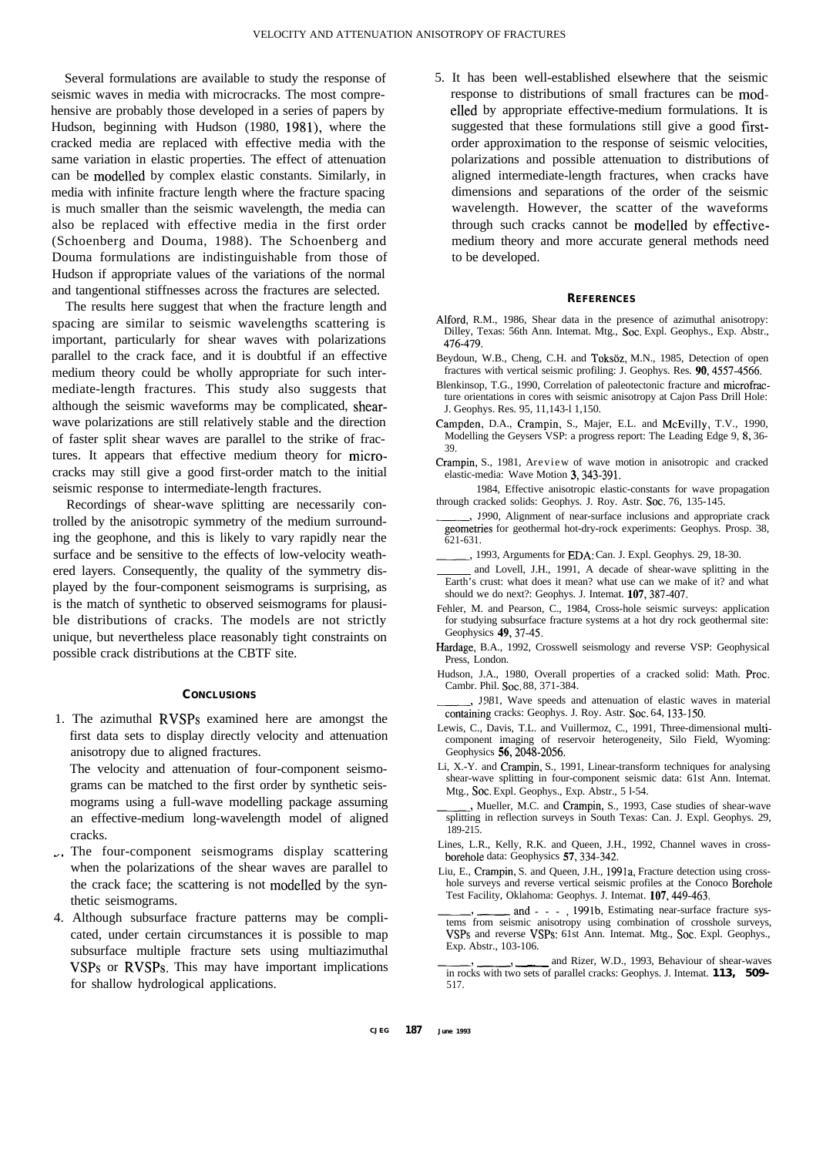Several formulations are available to study the response of seismic waves in media with microcracks. The most comprehensive are probably those developed in a series of papers by Hudson, beginning with Hudson (1980, 1981), where the cracked media are replaced with effective media with the same variation in elastic properties. The effect of attenuation can be modelled by complex elastic constants. Similarly, in media with infinite fracture length where the fracture spacing is much smaller than the seismic wavelength, the media can also be replaced with effective media in the first order (Schoenberg and Douma, 1988). The Schoenberg and Douma formulations are indistinguishable from those of Hudson if appropriate values of the variations of the normal and tangentional stiffnesses across the fractures are selected.

The results here suggest that when the fracture length and spacing are similar to seismic wavelengths scattering is important, particularly for shear waves with polarizations parallel to the crack face, and it is doubtful if an effective medium theory could be wholly appropriate for such intermediate-length fractures. This study also suggests that although the seismic waveforms may be complicated, shearwave polarizations are still relatively stable and the direction of faster split shear waves are parallel to the strike of fractures. It appears that effective medium theory for microcracks may still give a good first-order match to the initial seismic response to intermediate-length fractures.

Recordings of shear-wave splitting are necessarily controlled by the anisotropic symmetry of the medium surrounding the geophone, and this is likely to vary rapidly near the surface and be sensitive to the effects of low-velocity weathered layers. Consequently, the quality of the symmetry displayed by the four-component seismograms is surprising, as is the match of synthetic to observed seismograms for plausible distributions of cracks. The models are not strictly unique, but nevertheless place reasonably tight constraints on possible crack distributions at the CBTF site.

#### **CONCLUSIONS**

1. The azimuthal RVSPs examined here are amongst the first data sets to display directly velocity and attenuation anisotropy due to aligned fractures.

The velocity and attenuation of four-component seismograms can be matched to the first order by synthetic seismograms using a full-wave modelling package assuming an effective-medium long-wavelength model of aligned cracks.

- $\therefore$  The four-component seismograms display scattering when the polarizations of the shear waves are parallel to the crack face; the scattering is not modelled by the synthetic seismograms.
- 4. Although subsurface fracture patterns may be complicated, under certain circumstances it is possible to map subsurface multiple fracture sets using multiazimuthal VSPs or RVSPs. This may have important implications for shallow hydrological applications.

5. It has been well-established elsewhere that the seismic response to distributions of small fractures can be modelled by appropriate effective-medium formulations. It is suggested that these formulations still give a good firstorder approximation to the response of seismic velocities, polarizations and possible attenuation to distributions of aligned intermediate-length fractures, when cracks have dimensions and separations of the order of the seismic wavelength. However, the scatter of the waveforms through such cracks cannot be modelled by effectivemedium theory and more accurate general methods need to be developed.

#### **REFERENCES**

- Alford, R.M., 1986, Shear data in the presence of azimuthal anisotropy: Dilley, Texas: 56th Ann. Intemat. Mtg., Soc. Expl. Geophys., Exp. Abstr., 476-479.
- Beydoun, W.B., Cheng, C.H. and Toksöz, M.N., 1985, Detection of open fractures with vertical seismic profiling: J. Geophys. Res. 90,4557-4566.
- Blenkinsop, T.G., 1990, Correlation of paleotectonic fracture and microfracture orientations in cores with seismic anisotropy at Cajon Pass Drill Hole: J. Geophys. Res. 95, 11,143-l 1,150.
- Campden, D.A., Crampin, S., Majer, E.L. and McEvilly, T.V., 1990, Modelling the Geysers VSP: a progress report: The Leading Edge 9, 8, 36- 39.
- Crampin, S., 1981, Areview of wave motion in anisotropic and cracked elastic-media: Wave Motion 3,343-391.
- 1984, Effective anisotropic elastic-constants for wave propagation through cracked solids: Geophys. J. Roy. Astr. Soc. 76, 135-145.
- 1990, Alignment of near-surface inclusions and appropriate crack geometries for geothermal hot-dry-rock experiments: Geophys. Prosp. 38, 621-631.
- -71993, Arguments for EDA: Can. J. Expl. Geophys. 29, 18-30.
- and Lovell, J.H., 1991, A decade of shear-wave splitting in the Earth's crust: what does it mean? what use can we make of it? and what should we do next?: Geophys. J. Intemat. 107,387-407.
- Fehler, M. and Pearson, C., 1984, Cross-hole seismic surveys: application for studying subsurface fracture systems at a hot dry rock geothermal site: Geophysics 49,37-45.
- Hardage, B.A., 1992, Crosswell seismology and reverse VSP: Geophysical Press, London.
- Hudson, J.A., 1980, Overall properties of a cracked solid: Math. Proc. Cambr. Phil. Soc. 88, 371-384.
- 1981, Wave speeds and attenuation of elastic waves in material containing cracks: Geophys. J. Roy. Astr. Soc. 64, 133-150.
- Lewis, C., Davis, T.L. and Vuillermoz, C., 1991, Three-dimensional multicomponent imaging of reservoir heterogeneity, Silo Field, Wyoming: Geophysics 56, 2048-2056.
- Li, X.-Y. and Crampin, S., 1991, Linear-transform techniques for analysing shear-wave splitting in four-component seismic data: 61st Ann. Intemat. Mtg., Sot. Expl. Geophys., Exp. Abstr., 5 l-54.
- , Mueller, M.C. and Crampin, S., 1993, Case studies of shear-wave splitting in reflection surveys in South Texas: Can. J. Expl. Geophys. 29, 189-215.
- Lines, L.R., Kelly, R.K. and Queen, J.H., 1992, Channel waves in crossborehole data: Geophysics 57,334-342.
- Liu, E., Crampin, S. and Queen, J.H., 1991a, Fracture detection using crosshole surveys and reverse vertical seismic profiles at the Conoco Borehole Test Facility, Oklahoma: Geophys. J. Intemat. 107,449-463.
- and - , 1991b, Estimating near-surface fracture systems from seismic anisotropy using combination of crosshole surveys, VSPs and reverse VSPs: 61st Ann. Intemat. Mtg., Soc. Expl. Geophys.,<br>
Exp. Abstr., 103-106.<br>
and Rizer, W.D., 1993, Behaviour of shear-waves<br>
in rocks with two sets of parallel cracks: Geophys. J. Intemat. 113. 509-Exp. Abstr., 103-106.
- in rocks with two sets of parallel cracks: Geophys. J. Intemat. **113, 509-** 517.